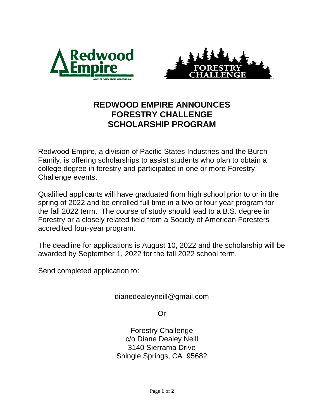



## **REDWOOD EMPIRE ANNOUNCES FORESTRY CHALLENGE SCHOLARSHIP PROGRAM**

Redwood Empire, a division of Pacific States Industries and the Burch Family, is offering scholarships to assist students who plan to obtain a college degree in forestry and participated in one or more Forestry Challenge events.

Qualified applicants will have graduated from high school prior to or in the spring of 2022 and be enrolled full time in a two or four-year program for the fall 2022 term. The course of study should lead to a B.S. degree in Forestry or a closely related field from a Society of American Foresters accredited four-year program.

The deadline for applications is August 10, 2022 and the scholarship will be awarded by September 1, 2022 for the fall 2022 school term.

Send completed application to:

dianedealeyneill@gmail.com

Or

Forestry Challenge c/o Diane Dealey Neill 3140 Sierrama Drive Shingle Springs, CA 95682